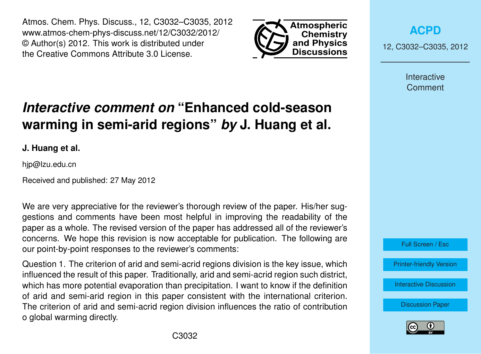Atmos. Chem. Phys. Discuss., 12, C3032–C3035, 2012 www.atmos-chem-phys-discuss.net/12/C3032/2012/ © Author(s) 2012. This work is distributed under the Creative Commons Attribute 3.0 License.



**[ACPD](http://www.atmos-chem-phys-discuss.net)**

12, C3032–C3035, 2012

Interactive **Comment** 

## *Interactive comment on* **"Enhanced cold-season warming in semi-arid regions"** *by* **J. Huang et al.**

**J. Huang et al.**

hjp@lzu.edu.cn

Received and published: 27 May 2012

We are very appreciative for the reviewer's thorough review of the paper. His/her suggestions and comments have been most helpful in improving the readability of the paper as a whole. The revised version of the paper has addressed all of the reviewer's concerns. We hope this revision is now acceptable for publication. The following are our point-by-point responses to the reviewer's comments:

Question 1. The criterion of arid and semi-acrid regions division is the key issue, which influenced the result of this paper. Traditionally, arid and semi-acrid region such district, which has more potential evaporation than precipitation. I want to know if the definition of arid and semi-arid region in this paper consistent with the international criterion. The criterion of arid and semi-acrid region division influences the ratio of contribution o global warming directly.



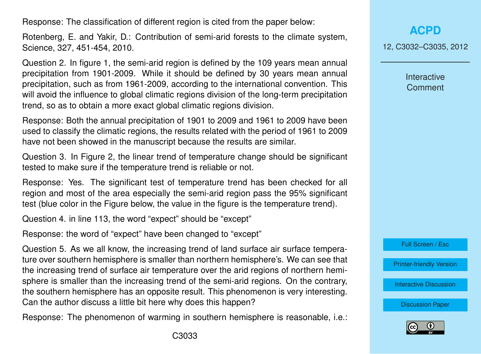Response: The classification of different region is cited from the paper below:

Rotenberg, E. and Yakir, D.: Contribution of semi-arid forests to the climate system, Science, 327, 451-454, 2010.

Question 2. In figure 1, the semi-arid region is defined by the 109 years mean annual precipitation from 1901-2009. While it should be defined by 30 years mean annual precipitation, such as from 1961-2009, according to the international convention. This will avoid the influence to global climatic regions division of the long-term precipitation trend, so as to obtain a more exact global climatic regions division.

Response: Both the annual precipitation of 1901 to 2009 and 1961 to 2009 have been used to classify the climatic regions, the results related with the period of 1961 to 2009 have not been showed in the manuscript because the results are similar.

Question 3. In Figure 2, the linear trend of temperature change should be significant tested to make sure if the temperature trend is reliable or not.

Response: Yes. The significant test of temperature trend has been checked for all region and most of the area especially the semi-arid region pass the 95% significant test (blue color in the Figure below, the value in the figure is the temperature trend).

Question 4. in line 113, the word "expect" should be "except"

Response: the word of "expect" have been changed to "except"

Question 5. As we all know, the increasing trend of land surface air surface temperature over southern hemisphere is smaller than northern hemisphere's. We can see that the increasing trend of surface air temperature over the arid regions of northern hemisphere is smaller than the increasing trend of the semi-arid regions. On the contrary, the southern hemisphere has an opposite result. This phenomenon is very interesting. Can the author discuss a little bit here why does this happen?

Response: The phenomenon of warming in southern hemisphere is reasonable, i.e.:

12, C3032–C3035, 2012

Interactive **Comment** 



[Printer-friendly Version](http://www.atmos-chem-phys-discuss.net/12/C3032/2012/acpd-12-C3032-2012-print.pdf)

[Interactive Discussion](http://www.atmos-chem-phys-discuss.net/12/4627/2012/acpd-12-4627-2012-discussion.html)

[Discussion Paper](http://www.atmos-chem-phys-discuss.net/12/4627/2012/acpd-12-4627-2012.pdf)

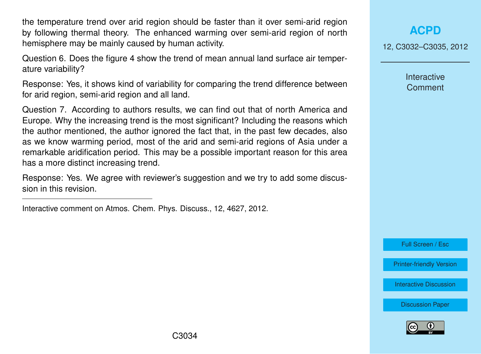the temperature trend over arid region should be faster than it over semi-arid region by following thermal theory. The enhanced warming over semi-arid region of north hemisphere may be mainly caused by human activity.

Question 6. Does the figure 4 show the trend of mean annual land surface air temperature variability?

Response: Yes, it shows kind of variability for comparing the trend difference between for arid region, semi-arid region and all land.

Question 7. According to authors results, we can find out that of north America and Europe. Why the increasing trend is the most significant? Including the reasons which the author mentioned, the author ignored the fact that, in the past few decades, also as we know warming period, most of the arid and semi-arid regions of Asia under a remarkable aridification period. This may be a possible important reason for this area has a more distinct increasing trend.

Response: Yes. We agree with reviewer's suggestion and we try to add some discussion in this revision.

Interactive comment on Atmos. Chem. Phys. Discuss., 12, 4627, 2012.

**[ACPD](http://www.atmos-chem-phys-discuss.net)**

12, C3032–C3035, 2012

Interactive **Comment** 

Full Screen / Esc

[Printer-friendly Version](http://www.atmos-chem-phys-discuss.net/12/C3032/2012/acpd-12-C3032-2012-print.pdf)

[Interactive Discussion](http://www.atmos-chem-phys-discuss.net/12/4627/2012/acpd-12-4627-2012-discussion.html)

[Discussion Paper](http://www.atmos-chem-phys-discuss.net/12/4627/2012/acpd-12-4627-2012.pdf)